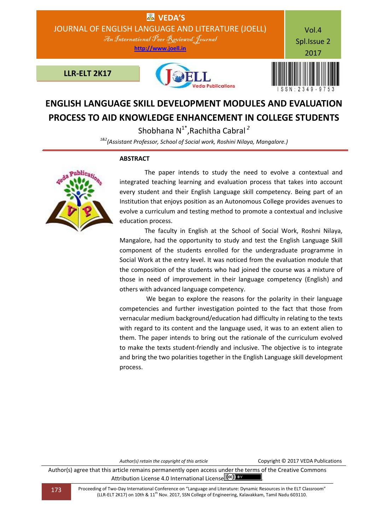

## **ENGLISH LANGUAGE SKILL DEVELOPMENT MODULES AND EVALUATION PROCESS TO AID KNOWLEDGE ENHANCEMENT IN COLLEGE STUDENTS**

Shobhana N1\*,Rachitha Cabral *<sup>2</sup> 1&2(Assistant Professor, School of Social work, Roshini Nilaya, Mangalore.)*

## **ABSTRACT**



 The paper intends to study the need to evolve a contextual and integrated teaching learning and evaluation process that takes into account every student and their English Language skill competency. Being part of an Institution that enjoys position as an Autonomous College provides avenues to evolve a curriculum and testing method to promote a contextual and inclusive education process.

 The faculty in English at the School of Social Work, Roshni Nilaya, Mangalore, had the opportunity to study and test the English Language Skill component of the students enrolled for the undergraduate programme in Social Work at the entry level. It was noticed from the evaluation module that the composition of the students who had joined the course was a mixture of those in need of improvement in their language competency (English) and others with advanced language competency.

 We began to explore the reasons for the polarity in their language competencies and further investigation pointed to the fact that those from vernacular medium background/education had difficulty in relating to the texts with regard to its content and the language used, it was to an extent alien to them. The paper intends to bring out the rationale of the curriculum evolved to make the texts student-friendly and inclusive. The objective is to integrate and bring the two polarities together in the English Language skill development process.

*Author(s) retain the copyright of this article* Copyright © 2017 VEDA Publications

Author(s) agree that this article remains permanently open access under the terms of the Creative Commons Attribution License 4.0 International License  $\left(\alpha c\right)$  **BY**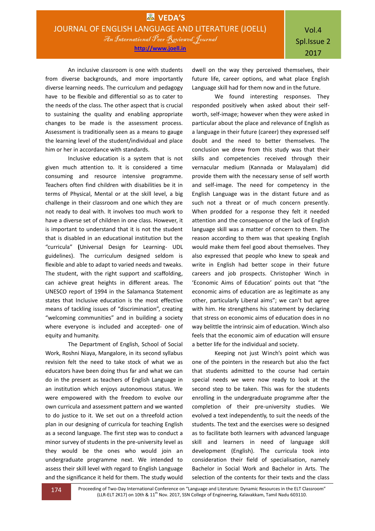An inclusive classroom is one with students from diverse backgrounds, and more importantly diverse learning needs. The curriculum and pedagogy have to be flexible and differential so as to cater to the needs of the class. The other aspect that is crucial to sustaining the quality and enabling appropriate changes to be made is the assessment process. Assessment is traditionally seen as a means to gauge the learning level of the student/individual and place him or her in accordance with standards.

Inclusive education is a system that is not given much attention to. It is considered a time consuming and resource intensive programme. Teachers often find children with disabilities be it in terms of Physical, Mental or at the skill level, a big challenge in their classroom and one which they are not ready to deal with. It involves too much work to have a diverse set of children in one class. However, it is important to understand that it is not the student that is disabled in an educational institution but the "curricula" **(**Universal Design for Learning- UDL guidelines). The curriculum designed seldom is flexible and able to adapt to varied needs and tweaks. The student, with the right support and scaffolding, can achieve great heights in different areas. The UNESCO report of 1994 in the Salamanca Statement states that Inclusive education is the most effective means of tackling issues of "discrimination", creating "welcoming communities" and in building a society where everyone is included and accepted- one of equity and humanity.

The Department of English, School of Social Work, Roshni Niaya, Mangalore, in its second syllabus revision felt the need to take stock of what we as educators have been doing thus far and what we can do in the present as teachers of English Language in an institution which enjoys autonomous status. We were empowered with the freedom to evolve our own curricula and assessment pattern and we wanted to do justice to it. We set out on a threefold action plan in our designing of curricula for teaching English as a second language. The first step was to conduct a minor survey of students in the pre-university level as they would be the ones who would join an undergraduate programme next. We intended to assess their skill level with regard to English Language and the significance it held for them. The study would

dwell on the way they perceived themselves, their future life, career options, and what place English Language skill had for them now and in the future.

We found interesting responses. They responded positively when asked about their selfworth, self-image; however when they were asked in particular about the place and relevance of English as a language in their future (career) they expressed self doubt and the need to better themselves. The conclusion we drew from this study was that their skills and competencies received through their vernacular medium (Kannada or Malayalam) did provide them with the necessary sense of self worth and self-image. The need for competency in the English Language was in the distant future and as such not a threat or of much concern presently. When prodded for a response they felt it needed attention and the consequence of the lack of English language skill was a matter of concern to them. The reason according to them was that speaking English would make them feel good about themselves. They also expressed that people who knew to speak and write in English had better scope in their future careers and job prospects. Christopher Winch in 'Economic Aims of Education' points out that "the economic aims of education are as legitimate as any other, particularly Liberal aims"; we can't but agree with him. He strengthens his statement by declaring that stress on economic aims of education does in no way belittle the intrinsic aim of education. Winch also feels that the economic aim of education will ensure a better life for the individual and society.

Keeping not just Winch's point which was one of the pointers in the research but also the fact that students admitted to the course had certain special needs we were now ready to look at the second step to be taken. This was for the students enrolling in the undergraduate programme after the completion of their pre-university studies. We evolved a text independently, to suit the needs of the students. The text and the exercises were so designed as to facilitate both learners with advanced language skill and learners in need of language skill development (English). The curricula took into consideration their field of specialisation, namely Bachelor in Social Work and Bachelor in Arts. The selection of the contents for their texts and the class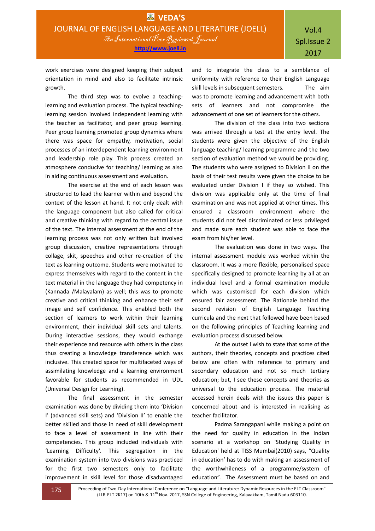work exercises were designed keeping their subject orientation in mind and also to facilitate intrinsic growth.

The third step was to evolve a teachinglearning and evaluation process. The typical teachinglearning session involved independent learning with the teacher as facilitator, and peer group learning. Peer group learning promoted group dynamics where there was space for empathy, motivation, social processes of an interdependent learning environment and leadership role play. This process created an atmosphere conducive for teaching/ learning as also in aiding continuous assessment and evaluation.

The exercise at the end of each lesson was structured to lead the learner within and beyond the context of the lesson at hand. It not only dealt with the language component but also called for critical and creative thinking with regard to the central issue of the text. The internal assessment at the end of the learning process was not only written but involved group discussion, creative representations through collage, skit, speeches and other re-creation of the text as learning outcome. Students were motivated to express themselves with regard to the content in the text material in the language they had competency in (Kannada /Malayalam) as well; this was to promote creative and critical thinking and enhance their self image and self confidence. This enabled both the section of learners to work within their learning environment, their individual skill sets and talents. During interactive sessions, they would exchange their experience and resource with others in the class thus creating a knowledge transference which was inclusive. This created space for multifaceted ways of assimilating knowledge and a learning environment favorable for students as recommended in UDL (Universal Design for Learning).

The final assessment in the semester examination was done by dividing them into 'Division I' (advanced skill sets) and 'Division II' to enable the better skilled and those in need of skill development to face a level of assessment in line with their competencies. This group included individuals with 'Learning Difficulty'. This segregation in the examination system into two divisions was practiced for the first two semesters only to facilitate improvement in skill level for those disadvantaged

and to integrate the class to a semblance of uniformity with reference to their English Language skill levels in subsequent semesters. The aim was to promote learning and advancement with both sets of learners and not compromise the advancement of one set of learners for the others.

The division of the class into two sections was arrived through a test at the entry level. The students were given the objective of the English language teaching/ learning programme and the two section of evaluation method we would be providing. The students who were assigned to Division II on the basis of their test results were given the choice to be evaluated under Division I if they so wished. This division was applicable only at the time of final examination and was not applied at other times. This ensured a classroom environment where the students did not feel discriminated or less privileged and made sure each student was able to face the exam from his/her level.

The evaluation was done in two ways. The internal assessment module was worked within the classroom. It was a more flexible, personalised space specifically designed to promote learning by all at an individual level and a formal examination module which was customised for each division which ensured fair assessment. The Rationale behind the second revision of English Language Teaching curricula and the next that followed have been based on the following principles of Teaching learning and evaluation process discussed below.

At the outset I wish to state that some of the authors, their theories, concepts and practices cited below are often with reference to primary and secondary education and not so much tertiary education; but, I see these concepts and theories as universal to the education process. The material accessed herein deals with the issues this paper is concerned about and is interested in realising as teacher facilitator.

Padma Sarangapani while making a point on the need for quality in education in the Indian scenario at a workshop on 'Studying Quality in Education' held at TISS Mumbai(2010) says, "Quality in education' has to do with making an assessment of the worthwhileness of a programme/system of education". The Assessment must be based on and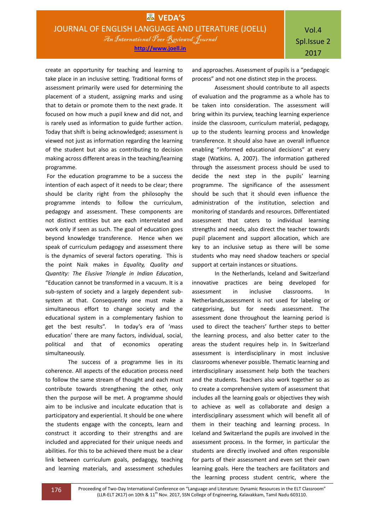create an opportunity for teaching and learning to take place in an inclusive setting. Traditional forms of assessment primarily were used for determining the placement of a student, assigning marks and using that to detain or promote them to the next grade. It focused on how much a pupil knew and did not, and is rarely used as information to guide further action. Today that shift is being acknowledged; assessment is viewed not just as information regarding the learning of the student but also as contributing to decision making across different areas in the teaching/learning programme.

For the education programme to be a success the intention of each aspect of it needs to be clear; there should be clarity right from the philosophy the programme intends to follow the curriculum, pedagogy and assessment. These components are not distinct entities but are each interrelated and work only if seen as such. The goal of education goes beyond knowledge transference. Hence when we speak of curriculum pedagogy and assessment there is the dynamics of several factors operating. This is the point Naik makes in *Equality, Quality and Quantity: The Elusive Triangle in Indian Education*, "Education cannot be transformed in a vacuum. It is a sub-system of society and a largely dependent subsystem at that. Consequently one must make a simultaneous effort to change society and the educational system in a complementary fashion to get the best results". In today's era of 'mass education' there are many factors, individual, social, political and that of economics operating simultaneously.

The success of a programme lies in its coherence. All aspects of the education process need to follow the same stream of thought and each must contribute towards strengthening the other, only then the purpose will be met. A programme should aim to be inclusive and inculcate education that is participatory and experiential. It should be one where the students engage with the concepts, learn and construct it according to their strengths and are included and appreciated for their unique needs and abilities. For this to be achieved there must be a clear link between curriculum goals, pedagogy, teaching and learning materials, and assessment schedules

and approaches. Assessment of pupils is a "pedagogic process" and not one distinct step in the process.

Assessment should contribute to all aspects of evaluation and the programme as a whole has to be taken into consideration. The assessment will bring within its purview, teaching learning experience inside the classroom, curriculum material, pedagogy, up to the students learning process and knowledge transference. It should also have an overall influence enabling "informed educational decisions" at every stage (Watkins. A, 2007). The information gathered through the assessment process should be used to decide the next step in the pupils' learning programme. The significance of the assessment should be such that it should even influence the administration of the institution, selection and monitoring of standards and resources. Differentiated assessment that caters to individual learning strengths and needs, also direct the teacher towards pupil placement and support allocation, which are key to an inclusive setup as there will be some students who may need shadow teachers or special support at certain instances or situations.

In the Netherlands, Iceland and Switzerland innovative practices are being developed for assessment in inclusive classrooms. In Netherlands,assessment is not used for labeling or categorising, but for needs assessment. The assessment done throughout the learning period is used to direct the teachers' further steps to better the learning process, and also better cater to the areas the student requires help in. In Switzerland assessment is interdisciplinary in most inclusive classrooms whenever possible. Thematic learning and interdisciplinary assessment help both the teachers and the students. Teachers also work together so as to create a comprehensive system of assessment that includes all the learning goals or objectives they wish to achieve as well as collaborate and design a interdisciplinary assessment which will benefit all of them in their teaching and learning process. In Iceland and Switzerland the pupils are involved in the assessment process. In the former, in particular the students are directly involved and often responsible for parts of their assessment and even set their own learning goals. Here the teachers are facilitators and the learning process student centric, where the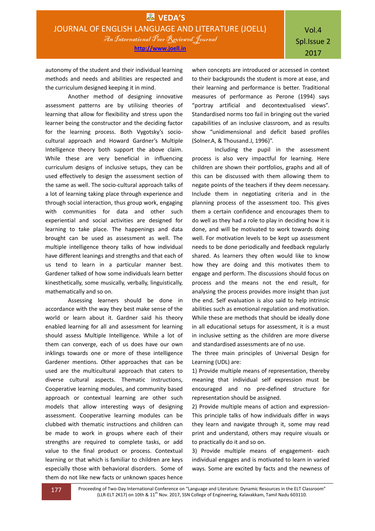autonomy of the student and their individual learning methods and needs and abilities are respected and the curriculum designed keeping it in mind.

Another method of designing innovative assessment patterns are by utilising theories of learning that allow for flexibility and stress upon the learner being the constructor and the deciding factor for the learning process. Both Vygotsky's sociocultural approach and Howard Gardner's Multiple Intelligence theory both support the above claim. While these are very beneficial in influencing curriculum designs of inclusive setups, they can be used effectively to design the assessment section of the same as well. The socio-cultural approach talks of a lot of learning taking place through experience and through social interaction, thus group work, engaging with communities for data and other such experiential and social activities are designed for learning to take place. The happenings and data brought can be used as assessment as well. The multiple intelligence theory talks of how individual have different leanings and strengths and that each of us tend to learn in a particular manner best. Gardener talked of how some individuals learn better kinesthetically, some musically, verbally, linguistically, mathematically and so on.

Assessing learners should be done in accordance with the way they best make sense of the world or learn about it. Gardner said his theory enabled learning for all and assessment for learning should assess Multiple Intelligence. While a lot of them can converge, each of us does have our own inklings towards one or more of these intelligence Gardener mentions. Other approaches that can be used are the multicultural approach that caters to diverse cultural aspects. Thematic instructions, Cooperative learning modules, and community based approach or contextual learning are other such models that allow interesting ways of designing assessment. Cooperative learning modules can be clubbed with thematic instructions and children can be made to work in groups where each of their strengths are required to complete tasks, or add value to the final product or process. Contextual learning or that which is familiar to children are keys especially those with behavioral disorders. Some of them do not like new facts or unknown spaces hence

when concepts are introduced or accessed in context to their backgrounds the student is more at ease, and their learning and performance is better. Traditional measures of performance as Perone (1994) says "portray artificial and decontextualised views". Standardised norms too fail in bringing out the varied capabilities of an inclusive classroom, and as results show "unidimensional and deficit based profiles (Solner.A, & Thousand.J, 1996)".

Including the pupil in the assessment process is also very impactful for learning. Here children are shown their portfolios, graphs and all of this can be discussed with them allowing them to negate points of the teachers if they deem necessary. Include them in negotiating criteria and in the planning process of the assessment too. This gives them a certain confidence and encourages them to do well as they had a role to play in deciding how it is done, and will be motivated to work towards doing well. For motivation levels to be kept up assessment needs to be done periodically and feedback regularly shared. As learners they often would like to know how they are doing and this motivates them to engage and perform. The discussions should focus on process and the means not the end result, for analysing the process provides more insight than just the end. Self evaluation is also said to help intrinsic abilities such as emotional regulation and motivation. While these are methods that should be ideally done in all educational setups for assessment, it is a must in inclusive setting as the children are more diverse and standardised assessments are of no use.

The three main principles of Universal Design for Learning (UDL) are:

1) Provide multiple means of representation, thereby meaning that individual self expression must be encouraged and no pre-defined structure for representation should be assigned.

2) Provide multiple means of action and expression-This principle talks of how individuals differ in ways they learn and navigate through it, some may read print and understand, others may require visuals or to practically do it and so on.

3) Provide multiple means of engagement- each individual engages and is motivated to learn in varied ways. Some are excited by facts and the newness of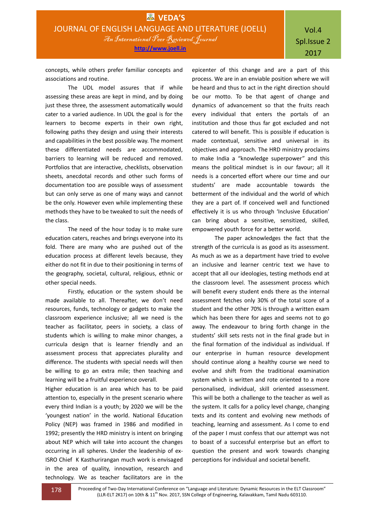concepts, while others prefer familiar concepts and associations and routine.

The UDL model assures that if while assessing these areas are kept in mind, and by doing just these three, the assessment automatically would cater to a varied audience. In UDL the goal is for the learners to become experts in their own right, following paths they design and using their interests and capabilities in the best possible way. The moment these differentiated needs are accommodated, barriers to learning will be reduced and removed. Portfolios that are interactive, checklists, observation sheets, anecdotal records and other such forms of documentation too are possible ways of assessment but can only serve as one of many ways and cannot be the only. However even while implementing these methods they have to be tweaked to suit the needs of the class.

The need of the hour today is to make sure education caters, reaches and brings everyone into its fold. There are many who are pushed out of the education process at different levels because, they either do not fit in due to their positioning in terms of the geography, societal, cultural, religious, ethnic or other special needs.

Firstly, education or the system should be made available to all. Thereafter, we don't need resources, funds, technology or gadgets to make the classroom experience inclusive; all we need is the teacher as facilitator, peers in society, a class of students which is willing to make minor changes, a curricula design that is learner friendly and an assessment process that appreciates plurality and difference. The students with special needs will then be willing to go an extra mile; then teaching and learning will be a fruitful experience overall.

Higher education is an area which has to be paid attention to, especially in the present scenario where every third Indian is a youth; by 2020 we will be the 'youngest nation' in the world. National Education Policy (NEP) was framed in 1986 and modified in 1992; presently the HRD ministry is intent on bringing about NEP which will take into account the changes occurring in all spheres. Under the leadership of ex-ISRO Chief K Kasthurirangan much work is envisaged in the area of quality, innovation, research and technology. We as teacher facilitators are in the

epicenter of this change and are a part of this process. We are in an enviable position where we will be heard and thus to act in the right direction should be our motto. To be that agent of change and dynamics of advancement so that the fruits reach every individual that enters the portals of an institution and those thus far got excluded and not catered to will benefit. This is possible if education is made contextual, sensitive and universal in its objectives and approach. The HRD ministry proclaims to make India a "knowledge superpower" and this means the political mindset is in our favour; all it needs is a concerted effort where our time and our students' are made accountable towards the betterment of the individual and the world of which they are a part of. If conceived well and functioned effectively it is us who through 'Inclusive Education' can bring about a sensitive, sensitized, skilled, empowered youth force for a better world.

The paper acknowledges the fact that the strength of the curricula is as good as its assessment. As much as we as a department have tried to evolve an inclusive and learner centric text we have to accept that all our ideologies, testing methods end at the classroom level. The assessment process which will benefit every student ends there as the internal assessment fetches only 30% of the total score of a student and the other 70% is through a written exam which has been there for ages and seems not to go away. The endeavour to bring forth change in the students' skill sets rests not in the final grade but in the final formation of the individual as individual. If our enterprise in human resource development should continue along a healthy course we need to evolve and shift from the traditional examination system which is written and rote oriented to a more personalised, individual, skill oriented assessment. This will be both a challenge to the teacher as well as the system. It calls for a policy level change, changing texts and its content and evolving new methods of teaching, learning and assessment. As I come to end of the paper I must confess that our attempt was not to boast of a successful enterprise but an effort to question the present and work towards changing perceptions for individual and societal benefit.